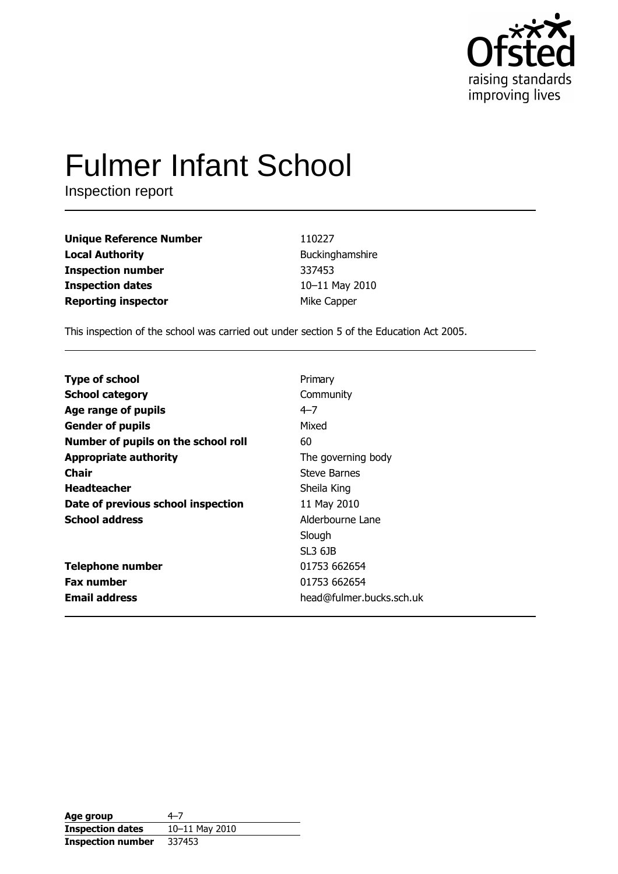

# **Fulmer Infant School**

Inspection report

| <b>Unique Reference Number</b> | 110227          |
|--------------------------------|-----------------|
| <b>Local Authority</b>         | Buckinghamshire |
| <b>Inspection number</b>       | 337453          |
| <b>Inspection dates</b>        | 10-11 May 2010  |
| <b>Reporting inspector</b>     | Mike Capper     |

This inspection of the school was carried out under section 5 of the Education Act 2005.

| Primary                  |
|--------------------------|
| Community                |
| $4 - 7$                  |
| Mixed                    |
| 60                       |
| The governing body       |
| Steve Barnes             |
| Sheila King              |
| 11 May 2010              |
| Alderbourne Lane         |
| Slough                   |
| SL3 6JB                  |
| 01753 662654             |
| 01753 662654             |
| head@fulmer.bucks.sch.uk |
|                          |

| Age group                | 4–7            |
|--------------------------|----------------|
| <b>Inspection dates</b>  | 10-11 May 2010 |
| <b>Inspection number</b> | 337453         |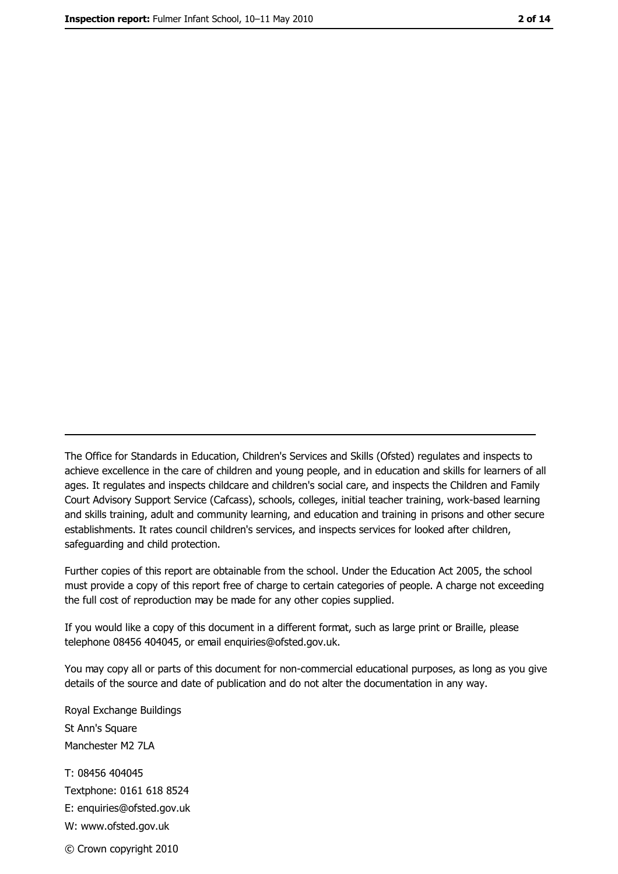The Office for Standards in Education, Children's Services and Skills (Ofsted) regulates and inspects to achieve excellence in the care of children and young people, and in education and skills for learners of all ages. It regulates and inspects childcare and children's social care, and inspects the Children and Family Court Advisory Support Service (Cafcass), schools, colleges, initial teacher training, work-based learning and skills training, adult and community learning, and education and training in prisons and other secure establishments. It rates council children's services, and inspects services for looked after children, safequarding and child protection.

Further copies of this report are obtainable from the school. Under the Education Act 2005, the school must provide a copy of this report free of charge to certain categories of people. A charge not exceeding the full cost of reproduction may be made for any other copies supplied.

If you would like a copy of this document in a different format, such as large print or Braille, please telephone 08456 404045, or email enquiries@ofsted.gov.uk.

You may copy all or parts of this document for non-commercial educational purposes, as long as you give details of the source and date of publication and do not alter the documentation in any way.

Royal Exchange Buildings St Ann's Square Manchester M2 7LA T: 08456 404045 Textphone: 0161 618 8524 E: enquiries@ofsted.gov.uk W: www.ofsted.gov.uk © Crown copyright 2010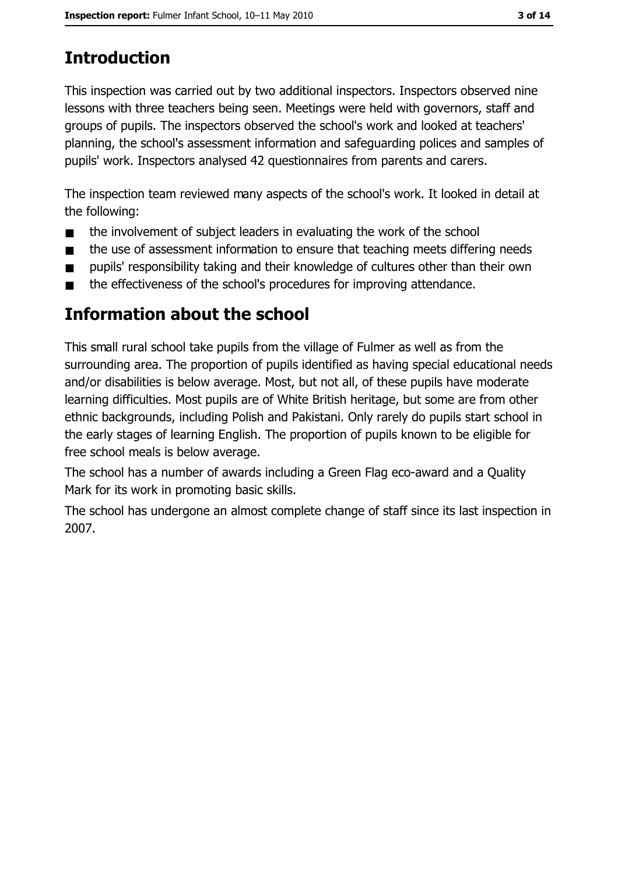# **Introduction**

This inspection was carried out by two additional inspectors. Inspectors observed nine lessons with three teachers being seen. Meetings were held with governors, staff and groups of pupils. The inspectors observed the school's work and looked at teachers' planning, the school's assessment information and safeguarding polices and samples of pupils' work. Inspectors analysed 42 questionnaires from parents and carers.

The inspection team reviewed many aspects of the school's work. It looked in detail at the following:

- the involvement of subject leaders in evaluating the work of the school  $\blacksquare$
- the use of assessment information to ensure that teaching meets differing needs  $\blacksquare$
- pupils' responsibility taking and their knowledge of cultures other than their own  $\blacksquare$
- the effectiveness of the school's procedures for improving attendance.  $\blacksquare$

# Information about the school

This small rural school take pupils from the village of Fulmer as well as from the surrounding area. The proportion of pupils identified as having special educational needs and/or disabilities is below average. Most, but not all, of these pupils have moderate learning difficulties. Most pupils are of White British heritage, but some are from other ethnic backgrounds, including Polish and Pakistani. Only rarely do pupils start school in the early stages of learning English. The proportion of pupils known to be eligible for free school meals is below average.

The school has a number of awards including a Green Flag eco-award and a Quality Mark for its work in promoting basic skills.

The school has undergone an almost complete change of staff since its last inspection in 2007.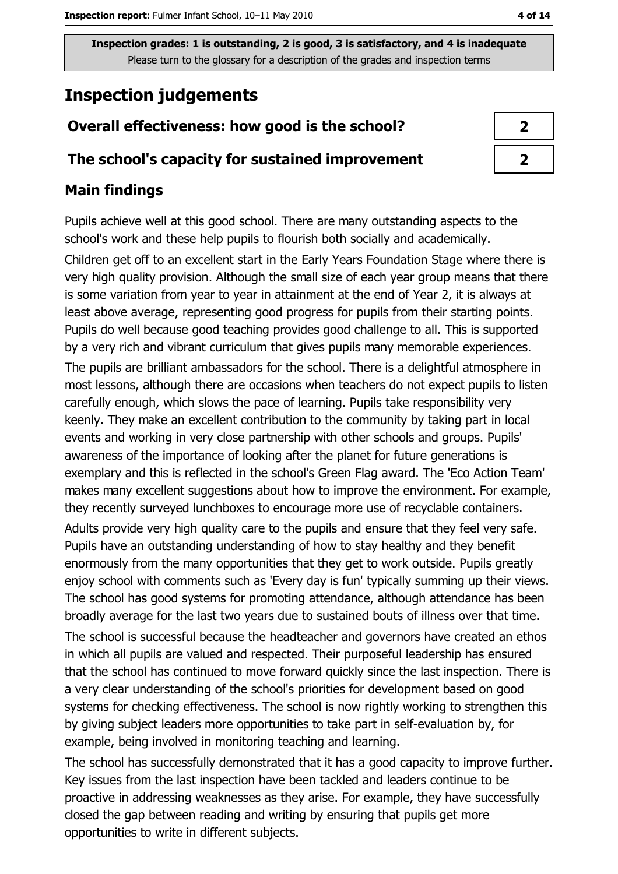# **Inspection judgements**

# Overall effectiveness: how good is the school?

# The school's capacity for sustained improvement

## **Main findings**

Pupils achieve well at this good school. There are many outstanding aspects to the school's work and these help pupils to flourish both socially and academically.

Children get off to an excellent start in the Early Years Foundation Stage where there is very high quality provision. Although the small size of each year group means that there is some variation from year to year in attainment at the end of Year 2, it is always at least above average, representing good progress for pupils from their starting points. Pupils do well because good teaching provides good challenge to all. This is supported by a very rich and vibrant curriculum that gives pupils many memorable experiences. The pupils are brilliant ambassadors for the school. There is a delightful atmosphere in most lessons, although there are occasions when teachers do not expect pupils to listen carefully enough, which slows the pace of learning. Pupils take responsibility very keenly. They make an excellent contribution to the community by taking part in local events and working in very close partnership with other schools and groups. Pupils' awareness of the importance of looking after the planet for future generations is exemplary and this is reflected in the school's Green Flag award. The 'Eco Action Team' makes many excellent suggestions about how to improve the environment. For example, they recently surveyed lunchboxes to encourage more use of recyclable containers.

Adults provide very high quality care to the pupils and ensure that they feel very safe. Pupils have an outstanding understanding of how to stay healthy and they benefit enormously from the many opportunities that they get to work outside. Pupils greatly enjoy school with comments such as 'Every day is fun' typically summing up their views. The school has good systems for promoting attendance, although attendance has been broadly average for the last two years due to sustained bouts of illness over that time.

The school is successful because the headteacher and governors have created an ethos in which all pupils are valued and respected. Their purposeful leadership has ensured that the school has continued to move forward quickly since the last inspection. There is a very clear understanding of the school's priorities for development based on good systems for checking effectiveness. The school is now rightly working to strengthen this by giving subject leaders more opportunities to take part in self-evaluation by, for example, being involved in monitoring teaching and learning.

The school has successfully demonstrated that it has a good capacity to improve further. Key issues from the last inspection have been tackled and leaders continue to be proactive in addressing weaknesses as they arise. For example, they have successfully closed the gap between reading and writing by ensuring that pupils get more opportunities to write in different subjects.

| $\boldsymbol{\lambda}$ |  |
|------------------------|--|
| ♪                      |  |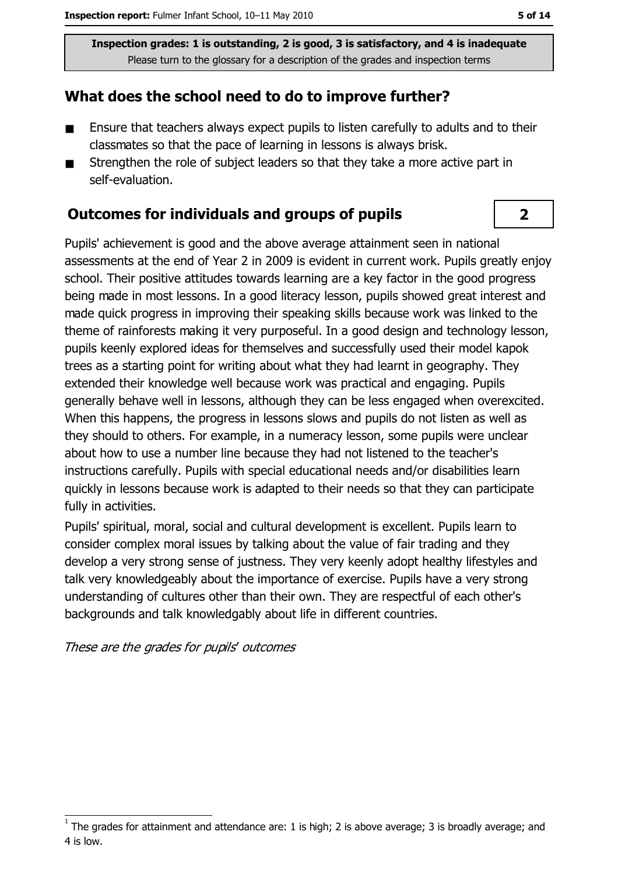# What does the school need to do to improve further?

- Ensure that teachers always expect pupils to listen carefully to adults and to their  $\blacksquare$ classmates so that the pace of learning in lessons is always brisk.
- Strengthen the role of subject leaders so that they take a more active part in  $\blacksquare$ self-evaluation.

## **Outcomes for individuals and groups of pupils**

Pupils' achievement is good and the above average attainment seen in national assessments at the end of Year 2 in 2009 is evident in current work. Pupils greatly enjoy school. Their positive attitudes towards learning are a key factor in the good progress being made in most lessons. In a good literacy lesson, pupils showed great interest and made quick progress in improving their speaking skills because work was linked to the theme of rainforests making it very purposeful. In a good design and technology lesson, pupils keenly explored ideas for themselves and successfully used their model kapok trees as a starting point for writing about what they had learnt in geography. They extended their knowledge well because work was practical and engaging. Pupils generally behave well in lessons, although they can be less engaged when overexcited. When this happens, the progress in lessons slows and pupils do not listen as well as they should to others. For example, in a numeracy lesson, some pupils were unclear about how to use a number line because they had not listened to the teacher's instructions carefully. Pupils with special educational needs and/or disabilities learn quickly in lessons because work is adapted to their needs so that they can participate fully in activities.

Pupils' spiritual, moral, social and cultural development is excellent. Pupils learn to consider complex moral issues by talking about the value of fair trading and they develop a very strong sense of justness. They very keenly adopt healthy lifestyles and talk very knowledgeably about the importance of exercise. Pupils have a very strong understanding of cultures other than their own. They are respectful of each other's backgrounds and talk knowledgably about life in different countries.

These are the grades for pupils' outcomes

 $\overline{2}$ 

The grades for attainment and attendance are: 1 is high; 2 is above average; 3 is broadly average; and 4 is low.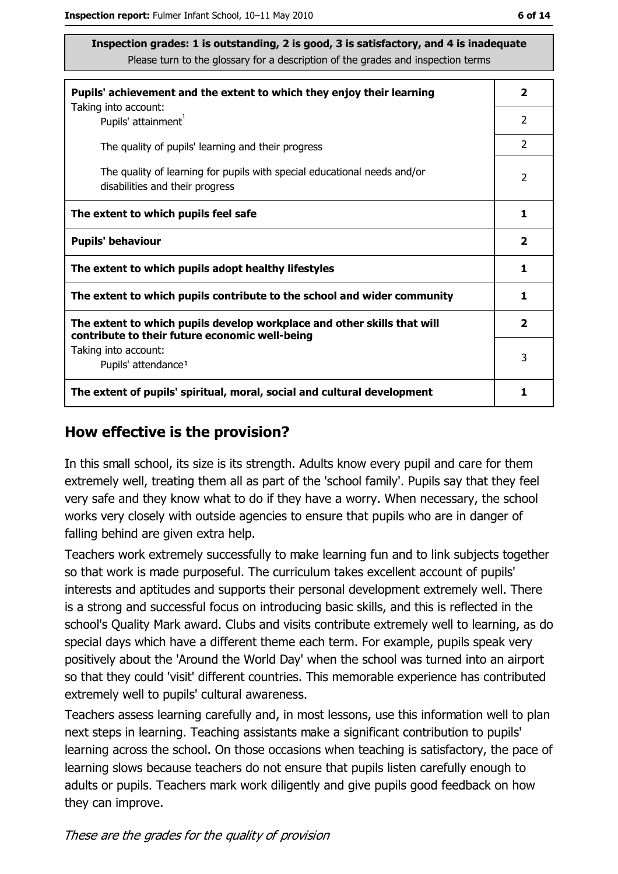| Pupils' achievement and the extent to which they enjoy their learning                                                     |                         |
|---------------------------------------------------------------------------------------------------------------------------|-------------------------|
| Taking into account:<br>Pupils' attainment <sup>1</sup>                                                                   | 2                       |
| The quality of pupils' learning and their progress                                                                        | 2                       |
| The quality of learning for pupils with special educational needs and/or<br>disabilities and their progress               | $\overline{2}$          |
| The extent to which pupils feel safe                                                                                      | 1                       |
| <b>Pupils' behaviour</b>                                                                                                  | $\overline{\mathbf{2}}$ |
| The extent to which pupils adopt healthy lifestyles                                                                       | 1                       |
| The extent to which pupils contribute to the school and wider community                                                   | 1                       |
| The extent to which pupils develop workplace and other skills that will<br>contribute to their future economic well-being | $\overline{\mathbf{2}}$ |
| Taking into account:<br>Pupils' attendance <sup>1</sup>                                                                   | 3                       |
| The extent of pupils' spiritual, moral, social and cultural development                                                   |                         |

#### How effective is the provision?

In this small school, its size is its strength. Adults know every pupil and care for them extremely well, treating them all as part of the 'school family'. Pupils say that they feel very safe and they know what to do if they have a worry. When necessary, the school works very closely with outside agencies to ensure that pupils who are in danger of falling behind are given extra help.

Teachers work extremely successfully to make learning fun and to link subjects together so that work is made purposeful. The curriculum takes excellent account of pupils' interests and aptitudes and supports their personal development extremely well. There is a strong and successful focus on introducing basic skills, and this is reflected in the school's Quality Mark award. Clubs and visits contribute extremely well to learning, as do special days which have a different theme each term. For example, pupils speak very positively about the 'Around the World Day' when the school was turned into an airport so that they could 'visit' different countries. This memorable experience has contributed extremely well to pupils' cultural awareness.

Teachers assess learning carefully and, in most lessons, use this information well to plan next steps in learning. Teaching assistants make a significant contribution to pupils' learning across the school. On those occasions when teaching is satisfactory, the pace of learning slows because teachers do not ensure that pupils listen carefully enough to adults or pupils. Teachers mark work diligently and give pupils good feedback on how they can improve.

These are the grades for the quality of provision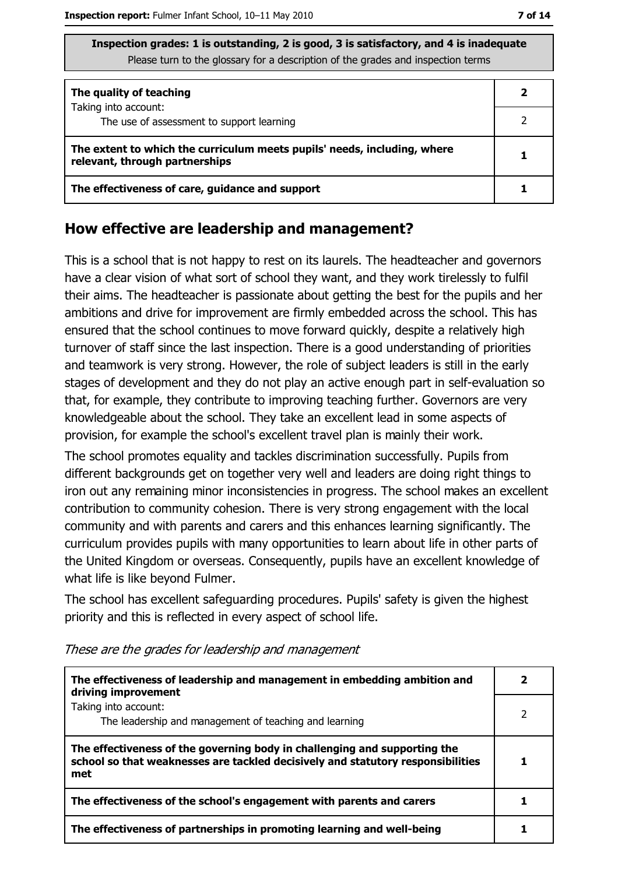| Inspection grades: 1 is outstanding, 2 is good, 3 is satisfactory, and 4 is inadequate |
|----------------------------------------------------------------------------------------|
| Please turn to the glossary for a description of the grades and inspection terms       |

| The quality of teaching                                                                                    |  |
|------------------------------------------------------------------------------------------------------------|--|
| Taking into account:<br>The use of assessment to support learning                                          |  |
| The extent to which the curriculum meets pupils' needs, including, where<br>relevant, through partnerships |  |
| The effectiveness of care, guidance and support                                                            |  |

## How effective are leadership and management?

This is a school that is not happy to rest on its laurels. The headteacher and governors have a clear vision of what sort of school they want, and they work tirelessly to fulfil their aims. The headteacher is passionate about getting the best for the pupils and her ambitions and drive for improvement are firmly embedded across the school. This has ensured that the school continues to move forward quickly, despite a relatively high turnover of staff since the last inspection. There is a good understanding of priorities and teamwork is very strong. However, the role of subject leaders is still in the early stages of development and they do not play an active enough part in self-evaluation so that, for example, they contribute to improving teaching further. Governors are very knowledgeable about the school. They take an excellent lead in some aspects of provision, for example the school's excellent travel plan is mainly their work.

The school promotes equality and tackles discrimination successfully. Pupils from different backgrounds get on together very well and leaders are doing right things to iron out any remaining minor inconsistencies in progress. The school makes an excellent contribution to community cohesion. There is very strong engagement with the local community and with parents and carers and this enhances learning significantly. The curriculum provides pupils with many opportunities to learn about life in other parts of the United Kingdom or overseas. Consequently, pupils have an excellent knowledge of what life is like beyond Fulmer.

The school has excellent safeguarding procedures. Pupils' safety is given the highest priority and this is reflected in every aspect of school life.

| The effectiveness of leadership and management in embedding ambition and<br>driving improvement                                                                     |  |
|---------------------------------------------------------------------------------------------------------------------------------------------------------------------|--|
| Taking into account:<br>The leadership and management of teaching and learning                                                                                      |  |
| The effectiveness of the governing body in challenging and supporting the<br>school so that weaknesses are tackled decisively and statutory responsibilities<br>met |  |
| The effectiveness of the school's engagement with parents and carers                                                                                                |  |
| The effectiveness of partnerships in promoting learning and well-being                                                                                              |  |

These are the grades for leadership and management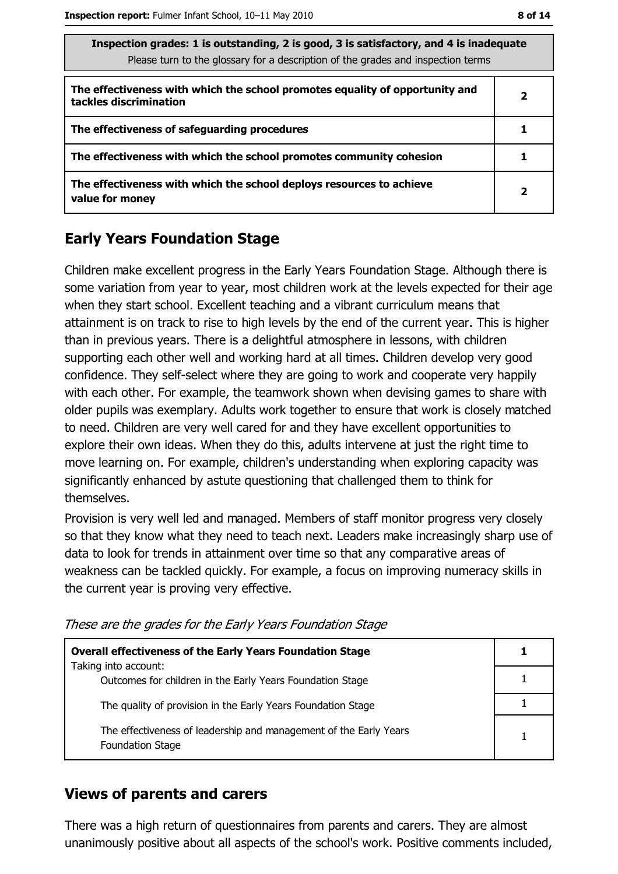| s sausiación y laucs. I is quistanting, z is good, s is sausiación y, any 4 is magguard<br>Please turn to the glossary for a description of the grades and inspection terms |                |  |
|-----------------------------------------------------------------------------------------------------------------------------------------------------------------------------|----------------|--|
| The effectiveness with which the school promotes equality of opportunity and<br>tackles discrimination                                                                      | $\overline{2}$ |  |
| The effectiveness of safeguarding procedures                                                                                                                                |                |  |
| The effectiveness with which the school promotes community cohesion                                                                                                         |                |  |
| The effectiveness with which the school deploys resources to achieve<br>value for money                                                                                     | 2              |  |

 $\sim$ 

# **Early Years Foundation Stage**

Children make excellent progress in the Early Years Foundation Stage. Although there is some variation from year to year, most children work at the levels expected for their age when they start school. Excellent teaching and a vibrant curriculum means that attainment is on track to rise to high levels by the end of the current year. This is higher than in previous years. There is a delightful atmosphere in lessons, with children supporting each other well and working hard at all times. Children develop very good confidence. They self-select where they are going to work and cooperate very happily with each other. For example, the teamwork shown when devising games to share with older pupils was exemplary. Adults work together to ensure that work is closely matched to need. Children are very well cared for and they have excellent opportunities to explore their own ideas. When they do this, adults intervene at just the right time to move learning on. For example, children's understanding when exploring capacity was significantly enhanced by astute questioning that challenged them to think for themselves.

Provision is very well led and managed. Members of staff monitor progress very closely so that they know what they need to teach next. Leaders make increasingly sharp use of data to look for trends in attainment over time so that any comparative areas of weakness can be tackled quickly. For example, a focus on improving numeracy skills in the current year is proving very effective.

These are the grades for the Early Years Foundation Stage

| <b>Overall effectiveness of the Early Years Foundation Stage</b>                             |   |
|----------------------------------------------------------------------------------------------|---|
| Taking into account:                                                                         |   |
| Outcomes for children in the Early Years Foundation Stage                                    |   |
| The quality of provision in the Early Years Foundation Stage                                 |   |
| The effectiveness of leadership and management of the Early Years<br><b>Foundation Stage</b> | 1 |

# **Views of parents and carers**

There was a high return of questionnaires from parents and carers. They are almost unanimously positive about all aspects of the school's work. Positive comments included,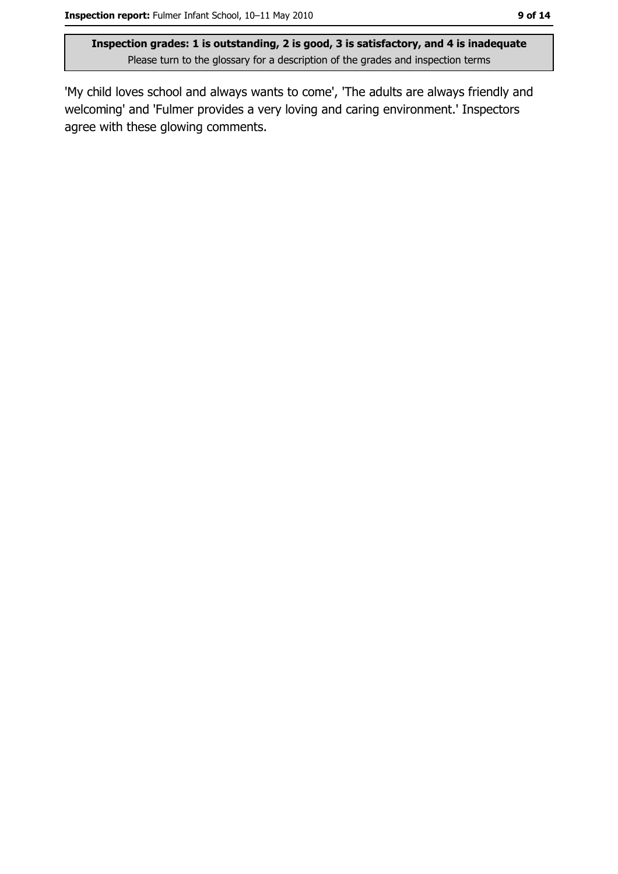'My child loves school and always wants to come', 'The adults are always friendly and welcoming' and 'Fulmer provides a very loving and caring environment.' Inspectors agree with these glowing comments.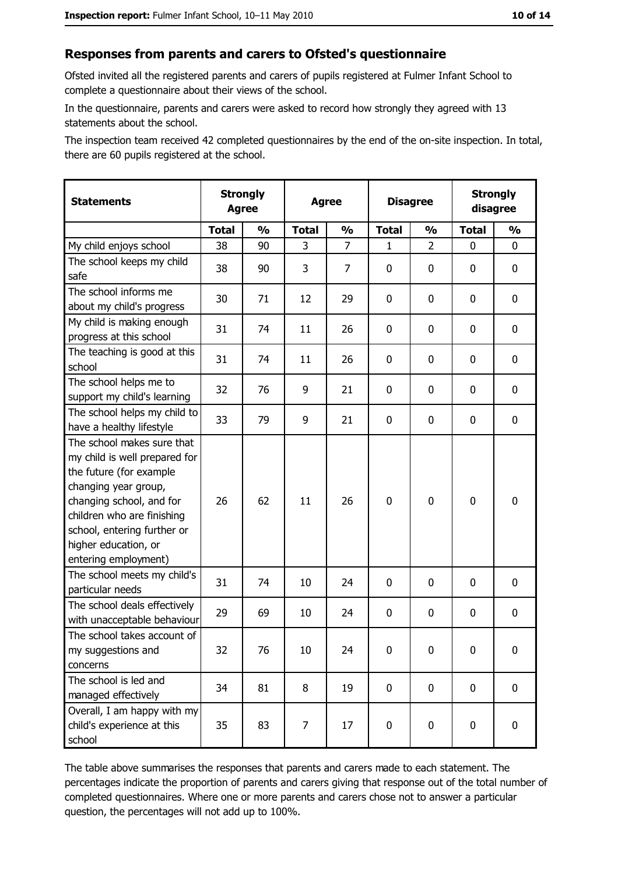#### Responses from parents and carers to Ofsted's questionnaire

Ofsted invited all the registered parents and carers of pupils registered at Fulmer Infant School to complete a questionnaire about their views of the school.

In the questionnaire, parents and carers were asked to record how strongly they agreed with 13 statements about the school.

The inspection team received 42 completed questionnaires by the end of the on-site inspection. In total, there are 60 pupils registered at the school.

| <b>Statements</b>                                                                                                                                                                                                                                       | <b>Strongly</b><br><b>Agree</b> |               | <b>Agree</b> |               |              | <b>Disagree</b> |              | <b>Strongly</b><br>disagree |
|---------------------------------------------------------------------------------------------------------------------------------------------------------------------------------------------------------------------------------------------------------|---------------------------------|---------------|--------------|---------------|--------------|-----------------|--------------|-----------------------------|
|                                                                                                                                                                                                                                                         | <b>Total</b>                    | $\frac{0}{0}$ | <b>Total</b> | $\frac{1}{2}$ | <b>Total</b> | $\frac{1}{2}$   | <b>Total</b> | $\frac{1}{2}$               |
| My child enjoys school                                                                                                                                                                                                                                  | 38                              | 90            | 3            | 7             | 1            | $\overline{2}$  | $\Omega$     | 0                           |
| The school keeps my child<br>safe                                                                                                                                                                                                                       | 38                              | 90            | 3            | 7             | 0            | 0               | 0            | 0                           |
| The school informs me<br>about my child's progress                                                                                                                                                                                                      | 30                              | 71            | 12           | 29            | 0            | 0               | 0            | $\mathbf 0$                 |
| My child is making enough<br>progress at this school                                                                                                                                                                                                    | 31                              | 74            | 11           | 26            | 0            | 0               | 0            | 0                           |
| The teaching is good at this<br>school                                                                                                                                                                                                                  | 31                              | 74            | 11           | 26            | 0            | 0               | 0            | 0                           |
| The school helps me to<br>support my child's learning                                                                                                                                                                                                   | 32                              | 76            | 9            | 21            | 0            | 0               | 0            | 0                           |
| The school helps my child to<br>have a healthy lifestyle                                                                                                                                                                                                | 33                              | 79            | 9            | 21            | $\mathbf 0$  | 0               | 0            | 0                           |
| The school makes sure that<br>my child is well prepared for<br>the future (for example<br>changing year group,<br>changing school, and for<br>children who are finishing<br>school, entering further or<br>higher education, or<br>entering employment) | 26                              | 62            | 11           | 26            | $\mathbf 0$  | 0               | $\mathbf 0$  | 0                           |
| The school meets my child's<br>particular needs                                                                                                                                                                                                         | 31                              | 74            | 10           | 24            | 0            | 0               | 0            | 0                           |
| The school deals effectively<br>with unacceptable behaviour                                                                                                                                                                                             | 29                              | 69            | 10           | 24            | $\mathbf 0$  | 0               | 0            | $\mathbf 0$                 |
| The school takes account of<br>my suggestions and<br>concerns                                                                                                                                                                                           | 32                              | 76            | 10           | 24            | $\mathbf 0$  | 0               | 0            | 0                           |
| The school is led and<br>managed effectively                                                                                                                                                                                                            | 34                              | 81            | 8            | 19            | $\mathbf 0$  | 0               | $\bf{0}$     | $\mathbf 0$                 |
| Overall, I am happy with my<br>child's experience at this<br>school                                                                                                                                                                                     | 35                              | 83            | 7            | 17            | $\mathbf 0$  | 0               | $\mathbf 0$  | $\mathbf 0$                 |

The table above summarises the responses that parents and carers made to each statement. The percentages indicate the proportion of parents and carers giving that response out of the total number of completed questionnaires. Where one or more parents and carers chose not to answer a particular question, the percentages will not add up to 100%.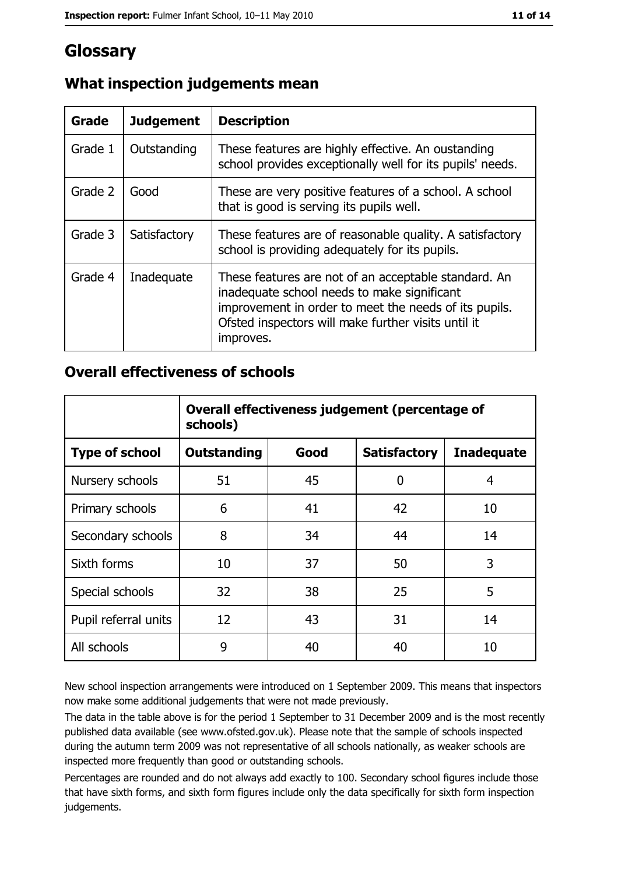# Glossary

| Grade   | <b>Judgement</b> | <b>Description</b>                                                                                                                                                                                                               |
|---------|------------------|----------------------------------------------------------------------------------------------------------------------------------------------------------------------------------------------------------------------------------|
| Grade 1 | Outstanding      | These features are highly effective. An oustanding<br>school provides exceptionally well for its pupils' needs.                                                                                                                  |
| Grade 2 | Good             | These are very positive features of a school. A school<br>that is good is serving its pupils well.                                                                                                                               |
| Grade 3 | Satisfactory     | These features are of reasonable quality. A satisfactory<br>school is providing adequately for its pupils.                                                                                                                       |
| Grade 4 | Inadequate       | These features are not of an acceptable standard. An<br>inadequate school needs to make significant<br>improvement in order to meet the needs of its pupils.<br>Ofsted inspectors will make further visits until it<br>improves. |

# What inspection judgements mean

# **Overall effectiveness of schools**

|                       | Overall effectiveness judgement (percentage of<br>schools) |      |                     |                   |
|-----------------------|------------------------------------------------------------|------|---------------------|-------------------|
| <b>Type of school</b> | <b>Outstanding</b>                                         | Good | <b>Satisfactory</b> | <b>Inadequate</b> |
| Nursery schools       | 51                                                         | 45   | 0                   | 4                 |
| Primary schools       | 6                                                          | 41   | 42                  | 10                |
| Secondary schools     | 8                                                          | 34   | 44                  | 14                |
| Sixth forms           | 10                                                         | 37   | 50                  | 3                 |
| Special schools       | 32                                                         | 38   | 25                  | 5                 |
| Pupil referral units  | 12                                                         | 43   | 31                  | 14                |
| All schools           | 9                                                          | 40   | 40                  | 10                |

New school inspection arrangements were introduced on 1 September 2009. This means that inspectors now make some additional judgements that were not made previously.

The data in the table above is for the period 1 September to 31 December 2009 and is the most recently published data available (see www.ofsted.gov.uk). Please note that the sample of schools inspected during the autumn term 2009 was not representative of all schools nationally, as weaker schools are inspected more frequently than good or outstanding schools.

Percentages are rounded and do not always add exactly to 100. Secondary school figures include those that have sixth forms, and sixth form figures include only the data specifically for sixth form inspection judgements.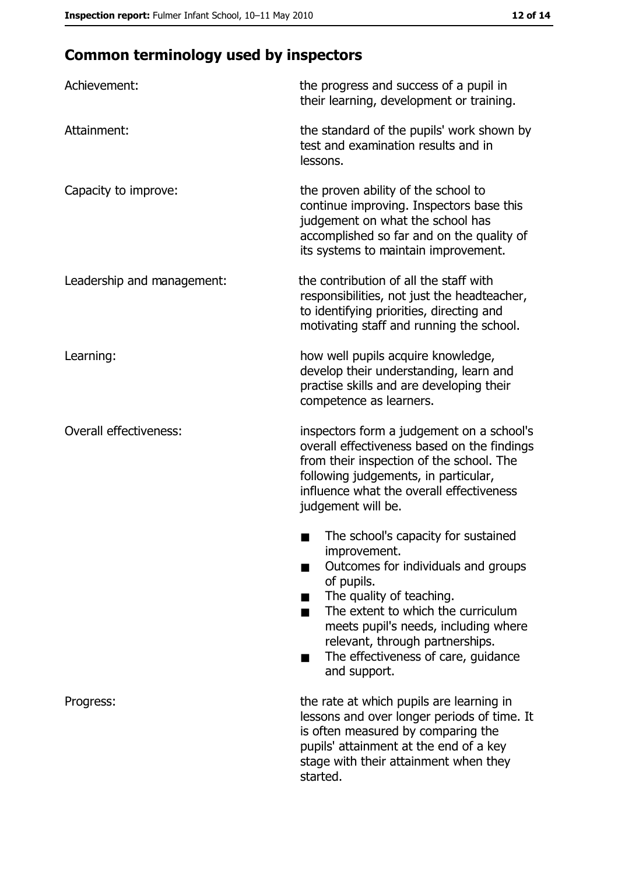# **Common terminology used by inspectors**

| Achievement:                  | the progress and success of a pupil in<br>their learning, development or training.                                                                                                                                                                                                                           |
|-------------------------------|--------------------------------------------------------------------------------------------------------------------------------------------------------------------------------------------------------------------------------------------------------------------------------------------------------------|
| Attainment:                   | the standard of the pupils' work shown by<br>test and examination results and in<br>lessons.                                                                                                                                                                                                                 |
| Capacity to improve:          | the proven ability of the school to<br>continue improving. Inspectors base this<br>judgement on what the school has<br>accomplished so far and on the quality of<br>its systems to maintain improvement.                                                                                                     |
| Leadership and management:    | the contribution of all the staff with<br>responsibilities, not just the headteacher,<br>to identifying priorities, directing and<br>motivating staff and running the school.                                                                                                                                |
| Learning:                     | how well pupils acquire knowledge,<br>develop their understanding, learn and<br>practise skills and are developing their<br>competence as learners.                                                                                                                                                          |
| <b>Overall effectiveness:</b> | inspectors form a judgement on a school's<br>overall effectiveness based on the findings<br>from their inspection of the school. The<br>following judgements, in particular,<br>influence what the overall effectiveness<br>judgement will be.                                                               |
|                               | The school's capacity for sustained<br>improvement.<br>Outcomes for individuals and groups<br>of pupils.<br>The quality of teaching.<br>The extent to which the curriculum<br>meets pupil's needs, including where<br>relevant, through partnerships.<br>The effectiveness of care, guidance<br>and support. |
| Progress:                     | the rate at which pupils are learning in<br>lessons and over longer periods of time. It<br>is often measured by comparing the<br>pupils' attainment at the end of a key<br>stage with their attainment when they<br>started.                                                                                 |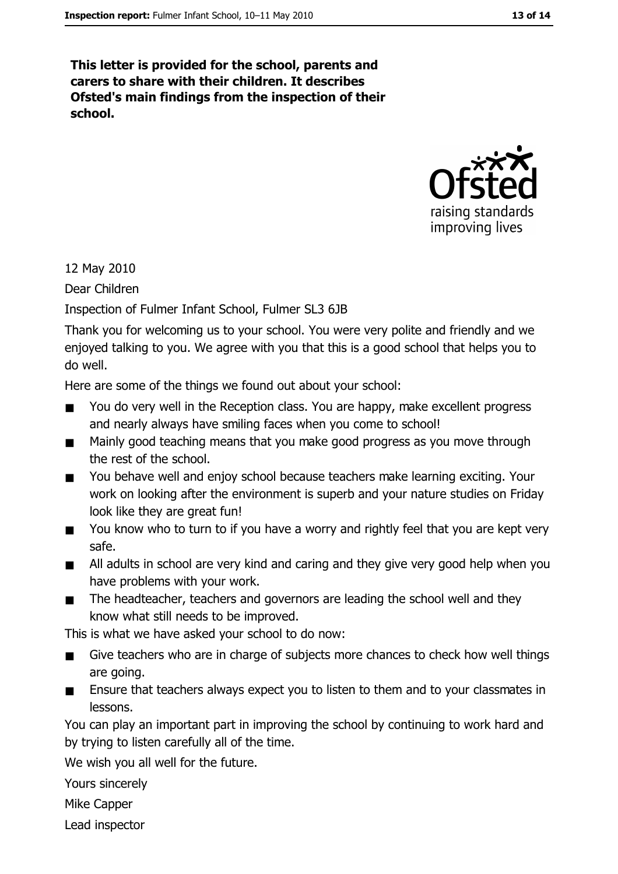This letter is provided for the school, parents and carers to share with their children. It describes Ofsted's main findings from the inspection of their school.



12 May 2010

Dear Children

Inspection of Fulmer Infant School, Fulmer SL3 6JB

Thank you for welcoming us to your school. You were very polite and friendly and we enjoyed talking to you. We agree with you that this is a good school that helps you to do well.

Here are some of the things we found out about your school:

- You do very well in the Reception class. You are happy, make excellent progress  $\blacksquare$ and nearly always have smiling faces when you come to school!
- Mainly good teaching means that you make good progress as you move through  $\blacksquare$ the rest of the school.
- You behave well and enjoy school because teachers make learning exciting. Your  $\blacksquare$ work on looking after the environment is superb and your nature studies on Friday look like they are great fun!
- You know who to turn to if you have a worry and rightly feel that you are kept very  $\blacksquare$ safe.
- All adults in school are very kind and caring and they give very good help when you  $\blacksquare$ have problems with your work.
- The headteacher, teachers and governors are leading the school well and they  $\blacksquare$ know what still needs to be improved.

This is what we have asked your school to do now:

- Give teachers who are in charge of subjects more chances to check how well things  $\blacksquare$ are going.
- Ensure that teachers always expect you to listen to them and to your classmates in  $\blacksquare$ lessons.

You can play an important part in improving the school by continuing to work hard and by trying to listen carefully all of the time.

We wish you all well for the future.

Yours sincerely

**Mike Capper** 

Lead inspector